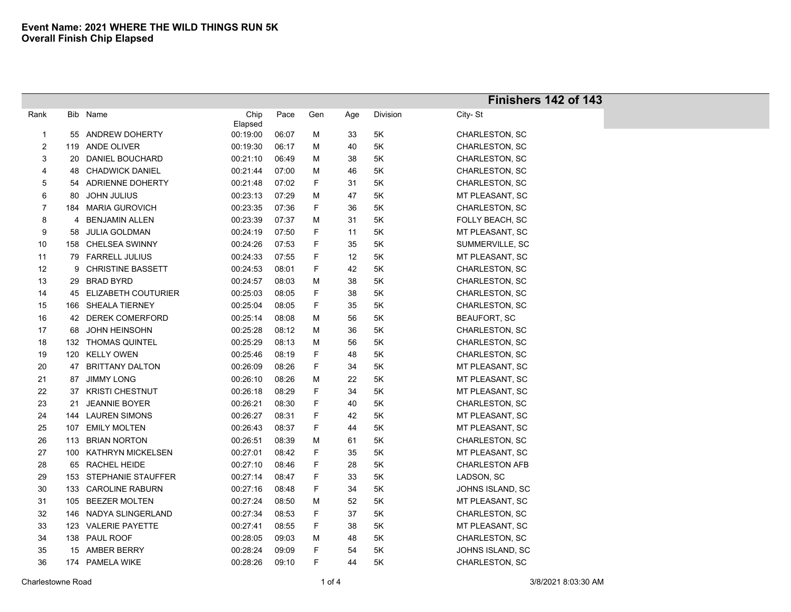|              |     |                          |                 |       |     |     |          | Finishers 142 of 143  |
|--------------|-----|--------------------------|-----------------|-------|-----|-----|----------|-----------------------|
| Rank         |     | Bib Name                 | Chip<br>Elapsed | Pace  | Gen | Age | Division | City-St               |
| $\mathbf{1}$ |     | 55 ANDREW DOHERTY        | 00:19:00        | 06:07 | М   | 33  | 5K       | CHARLESTON, SC        |
| 2            | 119 | ANDE OLIVER              | 00:19:30        | 06:17 | М   | 40  | 5Κ       | CHARLESTON, SC        |
| 3            | 20  | DANIEL BOUCHARD          | 00:21:10        | 06:49 | М   | 38  | 5Κ       | CHARLESTON, SC        |
| 4            | 48  | <b>CHADWICK DANIEL</b>   | 00:21:44        | 07:00 | М   | 46  | 5K       | CHARLESTON, SC        |
| 5            | 54  | <b>ADRIENNE DOHERTY</b>  | 00:21:48        | 07:02 | F   | 31  | 5K       | CHARLESTON, SC        |
| 6            | 80  | <b>JOHN JULIUS</b>       | 00:23:13        | 07:29 | М   | 47  | 5K       | MT PLEASANT, SC       |
| 7            | 184 | <b>MARIA GUROVICH</b>    | 00:23:35        | 07:36 | F   | 36  | 5K       | CHARLESTON, SC        |
| 8            | 4   | <b>BENJAMIN ALLEN</b>    | 00:23:39        | 07:37 | Μ   | 31  | 5K       | FOLLY BEACH, SC       |
| 9            | 58  | <b>JULIA GOLDMAN</b>     | 00:24:19        | 07:50 | F   | 11  | 5K       | MT PLEASANT, SC       |
| 10           | 158 | <b>CHELSEA SWINNY</b>    | 00:24:26        | 07:53 | F   | 35  | 5K       | SUMMERVILLE, SC       |
| 11           |     | 79 FARRELL JULIUS        | 00:24:33        | 07:55 | F   | 12  | 5K       | MT PLEASANT, SC       |
| 12           | 9   | <b>CHRISTINE BASSETT</b> | 00:24:53        | 08:01 | F   | 42  | 5K       | CHARLESTON, SC        |
| 13           |     | 29 BRAD BYRD             | 00:24:57        | 08:03 | М   | 38  | 5K       | CHARLESTON, SC        |
| 14           |     | 45 ELIZABETH COUTURIER   | 00:25:03        | 08:05 | F   | 38  | 5K       | CHARLESTON, SC        |
| 15           |     | 166 SHEALA TIERNEY       | 00:25:04        | 08:05 | F   | 35  | 5K       | CHARLESTON, SC        |
| 16           |     | 42 DEREK COMERFORD       | 00:25:14        | 08:08 | М   | 56  | 5K       | <b>BEAUFORT, SC</b>   |
| 17           | 68  | <b>JOHN HEINSOHN</b>     | 00:25:28        | 08:12 | М   | 36  | 5K       | CHARLESTON, SC        |
| 18           |     | 132 THOMAS QUINTEL       | 00:25:29        | 08:13 | М   | 56  | 5K       | CHARLESTON, SC        |
| 19           |     | 120 KELLY OWEN           | 00:25:46        | 08:19 | F   | 48  | 5K       | CHARLESTON, SC        |
| 20           | 47  | <b>BRITTANY DALTON</b>   | 00:26:09        | 08:26 | F   | 34  | 5K       | MT PLEASANT, SC       |
| 21           | 87  | <b>JIMMY LONG</b>        | 00:26:10        | 08:26 | М   | 22  | 5K       | MT PLEASANT, SC       |
| 22           | 37  | <b>KRISTI CHESTNUT</b>   | 00:26:18        | 08:29 | F   | 34  | 5K       | MT PLEASANT, SC       |
| 23           | 21  | <b>JEANNIE BOYER</b>     | 00:26:21        | 08:30 | F   | 40  | 5K       | CHARLESTON, SC        |
| 24           | 144 | <b>LAUREN SIMONS</b>     | 00:26:27        | 08:31 | F   | 42  | 5K       | MT PLEASANT, SC       |
| 25           | 107 | <b>EMILY MOLTEN</b>      | 00:26:43        | 08:37 | F   | 44  | 5K       | MT PLEASANT, SC       |
| 26           |     | 113 BRIAN NORTON         | 00:26:51        | 08:39 | М   | 61  | 5K       | CHARLESTON, SC        |
| 27           |     | 100 KATHRYN MICKELSEN    | 00:27:01        | 08:42 | F   | 35  | 5K       | MT PLEASANT, SC       |
| 28           |     | 65 RACHEL HEIDE          | 00:27:10        | 08:46 | F   | 28  | 5Κ       | <b>CHARLESTON AFB</b> |
| 29           |     | 153 STEPHANIE STAUFFER   | 00:27:14        | 08:47 | F   | 33  | 5Κ       | LADSON, SC            |
| 30           | 133 | <b>CAROLINE RABURN</b>   | 00:27:16        | 08:48 | F   | 34  | 5K       | JOHNS ISLAND, SC      |
| 31           | 105 | <b>BEEZER MOLTEN</b>     | 00:27:24        | 08:50 | М   | 52  | 5K       | MT PLEASANT, SC       |
| 32           |     | 146 NADYA SLINGERLAND    | 00:27:34        | 08:53 | F   | 37  | 5K       | <b>CHARLESTON, SC</b> |
| 33           |     | 123 VALERIE PAYETTE      | 00:27:41        | 08:55 | F   | 38  | 5K       | MT PLEASANT, SC       |
| 34           |     | 138 PAUL ROOF            | 00:28:05        | 09:03 | М   | 48  | 5K       | CHARLESTON, SC        |
| 35           |     | 15 AMBER BERRY           | 00:28:24        | 09:09 | F   | 54  | 5K       | JOHNS ISLAND, SC      |
| 36           |     | 174 PAMELA WIKE          | 00:28:26        | 09:10 | F   | 44  | 5K       | CHARLESTON, SC        |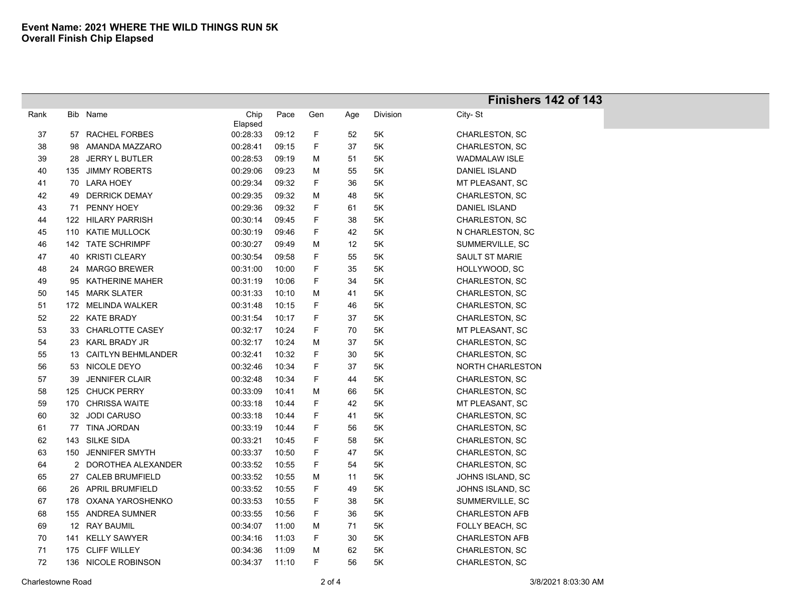|      |     |                           |          |       |     |     |          | Finishers 142 of 143  |
|------|-----|---------------------------|----------|-------|-----|-----|----------|-----------------------|
| Rank |     | Bib Name                  | Chip     | Pace  | Gen | Age | Division | City-St               |
|      |     |                           | Elapsed  |       |     |     |          |                       |
| 37   |     | 57 RACHEL FORBES          | 00:28:33 | 09:12 | F   | 52  | 5K       | CHARLESTON, SC        |
| 38   | 98  | AMANDA MAZZARO            | 00:28:41 | 09:15 | F   | 37  | 5K       | CHARLESTON, SC        |
| 39   | 28  | <b>JERRY L BUTLER</b>     | 00:28:53 | 09:19 | Μ   | 51  | 5Κ       | <b>WADMALAW ISLE</b>  |
| 40   | 135 | <b>JIMMY ROBERTS</b>      | 00:29:06 | 09:23 | М   | 55  | 5Κ       | DANIEL ISLAND         |
| 41   | 70  | LARA HOEY                 | 00:29:34 | 09:32 | F   | 36  | 5K       | MT PLEASANT, SC       |
| 42   | 49  | <b>DERRICK DEMAY</b>      | 00:29:35 | 09:32 | M   | 48  | 5K       | CHARLESTON, SC        |
| 43   | 71  | PENNY HOEY                | 00:29:36 | 09:32 | F   | 61  | 5Κ       | DANIEL ISLAND         |
| 44   |     | 122 HILARY PARRISH        | 00:30:14 | 09:45 | F   | 38  | 5Κ       | CHARLESTON, SC        |
| 45   | 110 | <b>KATIE MULLOCK</b>      | 00:30:19 | 09:46 | F   | 42  | 5K       | N CHARLESTON, SC      |
| 46   |     | 142 TATE SCHRIMPF         | 00:30:27 | 09:49 | М   | 12  | 5K       | SUMMERVILLE, SC       |
| 47   |     | 40 KRISTI CLEARY          | 00:30:54 | 09:58 | F   | 55  | 5K       | <b>SAULT ST MARIE</b> |
| 48   | 24  | <b>MARGO BREWER</b>       | 00:31:00 | 10:00 | F   | 35  | 5K       | HOLLYWOOD, SC         |
| 49   | 95  | <b>KATHERINE MAHER</b>    | 00:31:19 | 10:06 | F   | 34  | 5K       | CHARLESTON, SC        |
| 50   |     | 145 MARK SLATER           | 00:31:33 | 10:10 | М   | 41  | 5K       | CHARLESTON, SC        |
| 51   |     | 172 MELINDA WALKER        | 00:31:48 | 10:15 | F   | 46  | 5K       | CHARLESTON, SC        |
| 52   |     | 22 KATE BRADY             | 00:31:54 | 10:17 | F   | 37  | 5Κ       | CHARLESTON, SC        |
| 53   | 33  | <b>CHARLOTTE CASEY</b>    | 00:32:17 | 10:24 | F   | 70  | 5K       | MT PLEASANT, SC       |
| 54   | 23  | KARL BRADY JR             | 00:32:17 | 10:24 | М   | 37  | 5K       | CHARLESTON, SC        |
| 55   | 13  | <b>CAITLYN BEHMLANDER</b> | 00:32:41 | 10:32 | F   | 30  | 5K       | <b>CHARLESTON, SC</b> |
| 56   | 53  | NICOLE DEYO               | 00:32:46 | 10:34 | F   | 37  | 5K       | NORTH CHARLESTON      |
| 57   | 39  | <b>JENNIFER CLAIR</b>     | 00:32:48 | 10:34 | F   | 44  | 5K       | CHARLESTON, SC        |
| 58   | 125 | <b>CHUCK PERRY</b>        | 00:33:09 | 10:41 | M   | 66  | 5K       | CHARLESTON, SC        |
| 59   |     | 170 CHRISSA WAITE         | 00:33:18 | 10:44 | F   | 42  | 5K       | MT PLEASANT, SC       |
| 60   |     | 32 JODI CARUSO            | 00:33:18 | 10:44 | F   | 41  | 5K       | CHARLESTON, SC        |
| 61   |     | 77 TINA JORDAN            | 00:33:19 | 10:44 | F   | 56  | 5K       | CHARLESTON, SC        |
| 62   | 143 | SILKE SIDA                | 00:33:21 | 10:45 | F   | 58  | 5K       | CHARLESTON, SC        |
| 63   |     | 150 JENNIFER SMYTH        | 00:33:37 | 10:50 | F   | 47  | 5K       | CHARLESTON, SC        |
| 64   |     | 2 DOROTHEA ALEXANDER      | 00:33:52 | 10:55 | F   | 54  | 5K       | CHARLESTON, SC        |
| 65   |     | 27 CALEB BRUMFIELD        | 00:33:52 | 10:55 | Μ   | 11  | 5K       | JOHNS ISLAND, SC      |
| 66   | 26  | <b>APRIL BRUMFIELD</b>    | 00:33:52 | 10:55 | F   | 49  | 5K       | JOHNS ISLAND, SC      |
| 67   |     | 178 OXANA YAROSHENKO      | 00:33:53 | 10:55 | F   | 38  | 5K       | SUMMERVILLE, SC       |
| 68   | 155 | ANDREA SUMNER             | 00:33:55 | 10:56 | F   | 36  | 5K       | <b>CHARLESTON AFB</b> |
| 69   |     | 12 RAY BAUMIL             | 00:34:07 | 11:00 | М   | 71  | 5K       | FOLLY BEACH, SC       |
| 70   |     | 141 KELLY SAWYER          | 00:34:16 | 11:03 | F   | 30  | 5K       | <b>CHARLESTON AFB</b> |
| 71   |     | 175 CLIFF WILLEY          | 00:34:36 | 11:09 | М   | 62  | 5K       | CHARLESTON, SC        |
| 72   |     | 136 NICOLE ROBINSON       | 00:34:37 | 11:10 | F   | 56  | 5K       | CHARLESTON, SC        |

Ī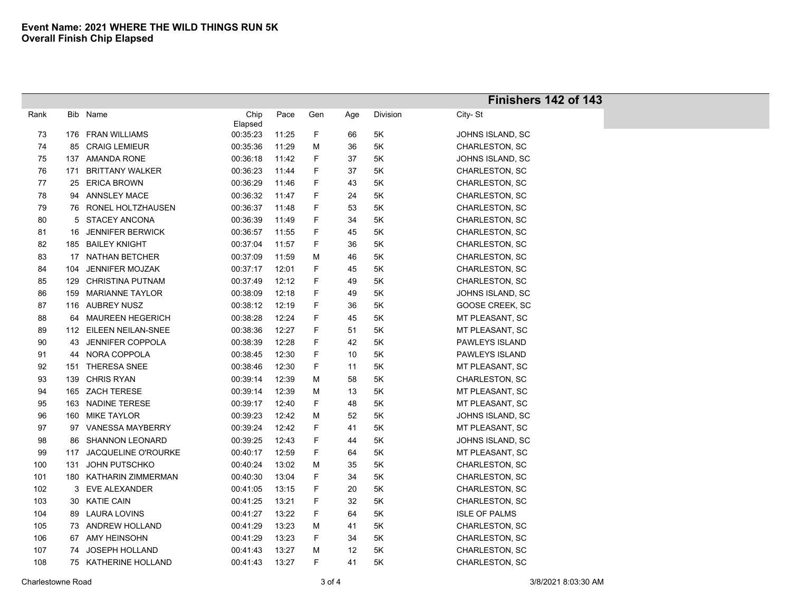|      |     |                            |                 |       |     |     |          | Finishers 142 of 143 |
|------|-----|----------------------------|-----------------|-------|-----|-----|----------|----------------------|
| Rank | Bib | Name                       | Chip<br>Elapsed | Pace  | Gen | Age | Division | City-St              |
| 73   |     | 176 FRAN WILLIAMS          | 00:35:23        | 11:25 | F   | 66  | 5K       | JOHNS ISLAND, SC     |
| 74   |     | 85 CRAIG LEMIEUR           | 00:35:36        | 11:29 | M   | 36  | 5K       | CHARLESTON, SC       |
| 75   | 137 | AMANDA RONE                | 00:36:18        | 11:42 | F   | 37  | 5K       | JOHNS ISLAND, SC     |
| 76   | 171 | <b>BRITTANY WALKER</b>     | 00:36:23        | 11:44 | F   | 37  | 5Κ       | CHARLESTON, SC       |
| 77   |     | 25 ERICA BROWN             | 00:36:29        | 11:46 | F   | 43  | 5K       | CHARLESTON, SC       |
| 78   | 94  | <b>ANNSLEY MACE</b>        | 00:36:32        | 11:47 | F   | 24  | 5K       | CHARLESTON, SC       |
| 79   |     | 76 RONEL HOLTZHAUSEN       | 00:36:37        | 11:48 | F   | 53  | 5Κ       | CHARLESTON, SC       |
| 80   | 5   | <b>STACEY ANCONA</b>       | 00:36:39        | 11:49 | F   | 34  | 5Κ       | CHARLESTON, SC       |
| 81   | 16  | <b>JENNIFER BERWICK</b>    | 00:36:57        | 11:55 | F   | 45  | 5K       | CHARLESTON, SC       |
| 82   |     | 185 BAILEY KNIGHT          | 00:37:04        | 11:57 | F   | 36  | 5Κ       | CHARLESTON, SC       |
| 83   |     | 17 NATHAN BETCHER          | 00:37:09        | 11:59 | M   | 46  | 5K       | CHARLESTON, SC       |
| 84   | 104 | <b>JENNIFER MOJZAK</b>     | 00:37:17        | 12:01 | F   | 45  | 5K       | CHARLESTON, SC       |
| 85   | 129 | <b>CHRISTINA PUTNAM</b>    | 00:37:49        | 12:12 | F   | 49  | 5K       | CHARLESTON, SC       |
| 86   |     | 159 MARIANNE TAYLOR        | 00:38:09        | 12:18 | F   | 49  | 5K       | JOHNS ISLAND, SC     |
| 87   |     | 116 AUBREY NUSZ            | 00:38:12        | 12:19 | F   | 36  | 5K       | GOOSE CREEK, SC      |
| 88   |     | 64 MAUREEN HEGERICH        | 00:38:28        | 12:24 | F   | 45  | 5K       | MT PLEASANT, SC      |
| 89   |     | 112 EILEEN NEILAN-SNEE     | 00:38:36        | 12:27 | F   | 51  | 5K       | MT PLEASANT, SC      |
| 90   |     | 43 JENNIFER COPPOLA        | 00:38:39        | 12:28 | F   | 42  | 5K       | PAWLEYS ISLAND       |
| 91   |     | 44 NORA COPPOLA            | 00:38:45        | 12:30 | F   | 10  | 5Κ       | PAWLEYS ISLAND       |
| 92   |     | 151 THERESA SNEE           | 00:38:46        | 12:30 | F   | 11  | 5Κ       | MT PLEASANT, SC      |
| 93   |     | 139 CHRIS RYAN             | 00:39:14        | 12:39 | M   | 58  | 5K       | CHARLESTON, SC       |
| 94   |     | 165 ZACH TERESE            | 00:39:14        | 12:39 | M   | 13  | 5K       | MT PLEASANT, SC      |
| 95   |     | 163 NADINE TERESE          | 00:39:17        | 12:40 | F   | 48  | 5K       | MT PLEASANT, SC      |
| 96   |     | 160 MIKE TAYLOR            | 00:39:23        | 12:42 | M   | 52  | 5K       | JOHNS ISLAND, SC     |
| 97   | 97  | <b>VANESSA MAYBERRY</b>    | 00:39:24        | 12:42 | F   | 41  | 5Κ       | MT PLEASANT, SC      |
| 98   | 86  | <b>SHANNON LEONARD</b>     | 00:39:25        | 12:43 | F   | 44  | 5K       | JOHNS ISLAND, SC     |
| 99   | 117 | <b>JACQUELINE O'ROURKE</b> | 00:40:17        | 12:59 | F.  | 64  | 5K       | MT PLEASANT, SC      |
| 100  | 131 | <b>JOHN PUTSCHKO</b>       | 00:40:24        | 13:02 | M   | 35  | 5K       | CHARLESTON, SC       |
| 101  |     | 180 KATHARIN ZIMMERMAN     | 00:40:30        | 13:04 | F.  | 34  | 5K       | CHARLESTON, SC       |
| 102  |     | 3 EVE ALEXANDER            | 00:41:05        | 13:15 | F   | 20  | 5K       | CHARLESTON, SC       |
| 103  |     | 30 KATIE CAIN              | 00:41:25        | 13:21 | F   | 32  | 5Κ       | CHARLESTON, SC       |
| 104  |     | 89 LAURA LOVINS            | 00:41:27        | 13:22 | F   | 64  | 5Κ       | <b>ISLE OF PALMS</b> |
| 105  |     | 73 ANDREW HOLLAND          | 00:41:29        | 13:23 | M   | 41  | 5Κ       | CHARLESTON, SC       |
| 106  | 67  | AMY HEINSOHN               | 00:41:29        | 13:23 | F   | 34  | 5Κ       | CHARLESTON, SC       |
| 107  | 74  | <b>JOSEPH HOLLAND</b>      | 00:41:43        | 13:27 | M   | 12  | 5K       | CHARLESTON, SC       |
| 108  |     | 75 KATHERINE HOLLAND       | 00:41:43        | 13:27 | F   | 41  | 5Κ       | CHARLESTON, SC       |